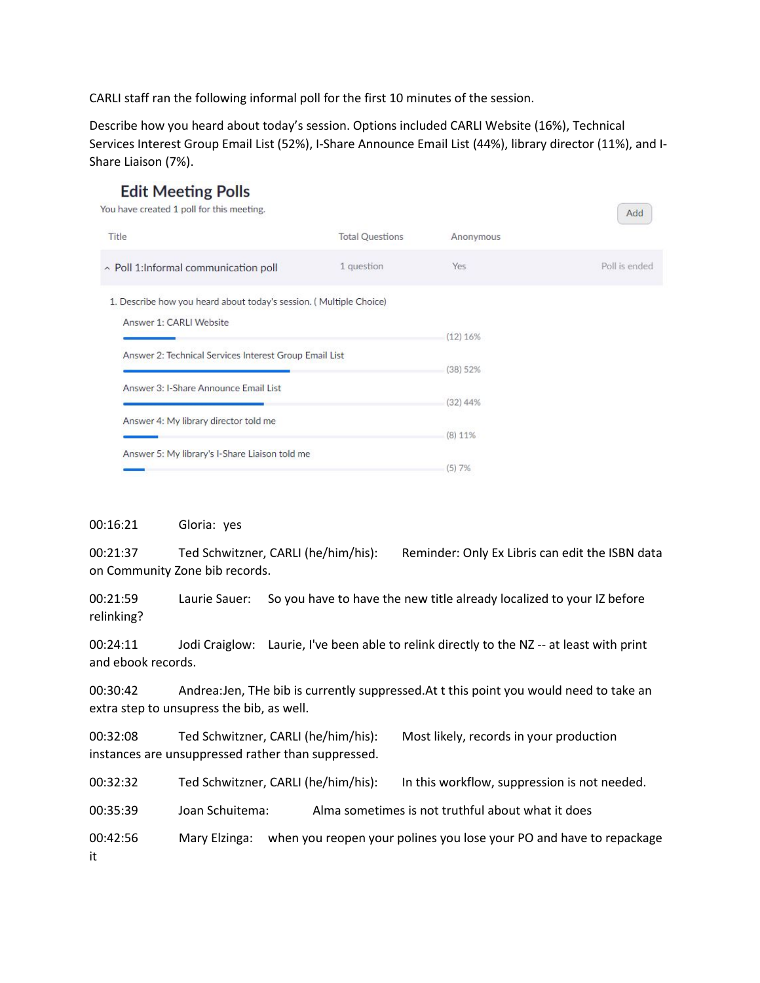CARLI staff ran the following informal poll for the first 10 minutes of the session.

Describe how you heard about today's session. Options included CARLI Website (16%), Technical Services Interest Group Email List (52%), I-Share Announce Email List (44%), library director (11%), and I-Share Liaison (7%).

| LUIL PICCUIS LUIS<br>You have created 1 poll for this meeting.     |                        |            | Add           |
|--------------------------------------------------------------------|------------------------|------------|---------------|
| Title                                                              | <b>Total Questions</b> | Anonymous  |               |
| ~ Poll 1:Informal communication poll                               | 1 question             | Yes        | Poll is ended |
| 1. Describe how you heard about today's session. (Multiple Choice) |                        |            |               |
| Answer 1: CARLI Website                                            |                        | (12) 16%   |               |
| Answer 2: Technical Services Interest Group Email List             |                        |            |               |
|                                                                    |                        | (38) 52%   |               |
| Answer 3: I-Share Announce Email List                              |                        | $(32)$ 44% |               |
| Answer 4: My library director told me                              |                        |            |               |
| Answer 5: My library's I-Share Liaison told me                     |                        | (8) 11%    |               |
|                                                                    |                        | (5)7%      |               |

## 00:16:21 Gloria: yes

**Edit Meeting Polls** 

00:21:37 Ted Schwitzner, CARLI (he/him/his): Reminder: Only Ex Libris can edit the ISBN data on Community Zone bib records.

00:21:59 Laurie Sauer: So you have to have the new title already localized to your IZ before relinking?

00:24:11 Jodi Craiglow: Laurie, I've been able to relink directly to the NZ -- at least with print and ebook records.

00:30:42 Andrea:Jen, THe bib is currently suppressed.At t this point you would need to take an extra step to unsupress the bib, as well.

00:32:08 Ted Schwitzner, CARLI (he/him/his): Most likely, records in your production instances are unsuppressed rather than suppressed.

00:32:32 Ted Schwitzner, CARLI (he/him/his): In this workflow, suppression is not needed.

00:35:39 Joan Schuitema: Alma sometimes is not truthful about what it does

00:42:56 Mary Elzinga: when you reopen your polines you lose your PO and have to repackage it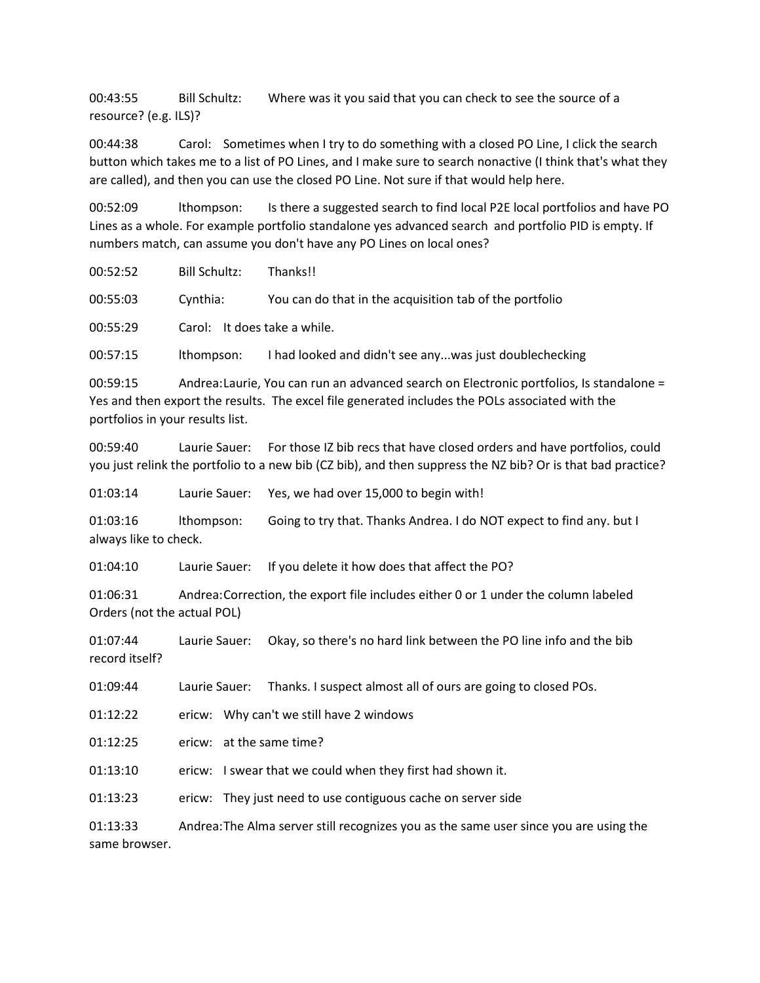00:43:55 Bill Schultz: Where was it you said that you can check to see the source of a resource? (e.g. ILS)?

00:44:38 Carol: Sometimes when I try to do something with a closed PO Line, I click the search button which takes me to a list of PO Lines, and I make sure to search nonactive (I think that's what they are called), and then you can use the closed PO Line. Not sure if that would help here.

00:52:09 lthompson: Is there a suggested search to find local P2E local portfolios and have PO Lines as a whole. For example portfolio standalone yes advanced search and portfolio PID is empty. If numbers match, can assume you don't have any PO Lines on local ones?

00:52:52 Bill Schultz: Thanks!!

00:55:03 Cynthia: You can do that in the acquisition tab of the portfolio

00:55:29 Carol: It does take a while.

00:57:15 lthompson: I had looked and didn't see any...was just doublechecking

00:59:15 Andrea:Laurie, You can run an advanced search on Electronic portfolios, Is standalone = Yes and then export the results. The excel file generated includes the POLs associated with the portfolios in your results list.

00:59:40 Laurie Sauer: For those IZ bib recs that have closed orders and have portfolios, could you just relink the portfolio to a new bib (CZ bib), and then suppress the NZ bib? Or is that bad practice?

01:03:14 Laurie Sauer: Yes, we had over 15,000 to begin with!

01:03:16 lthompson: Going to try that. Thanks Andrea. I do NOT expect to find any. but I always like to check.

01:04:10 Laurie Sauer: If you delete it how does that affect the PO?

01:06:31 Andrea:Correction, the export file includes either 0 or 1 under the column labeled Orders (not the actual POL)

01:07:44 Laurie Sauer: Okay, so there's no hard link between the PO line info and the bib record itself?

01:09:44 Laurie Sauer: Thanks. I suspect almost all of ours are going to closed POs.

01:12:22 ericw: Why can't we still have 2 windows

01:12:25 ericw: at the same time?

01:13:10 ericw: I swear that we could when they first had shown it.

01:13:23 ericw: They just need to use contiguous cache on server side

01:13:33 Andrea:The Alma server still recognizes you as the same user since you are using the same browser.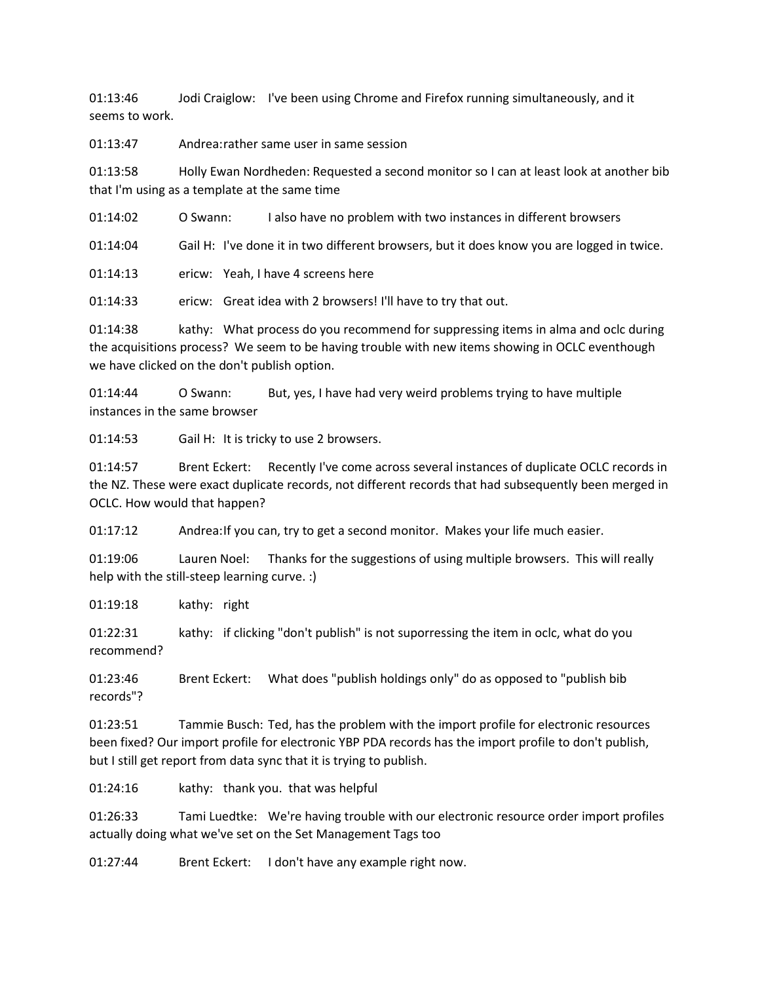01:13:46 Jodi Craiglow: I've been using Chrome and Firefox running simultaneously, and it seems to work.

01:13:47 Andrea:rather same user in same session

01:13:58 Holly Ewan Nordheden: Requested a second monitor so I can at least look at another bib that I'm using as a template at the same time

01:14:02 O Swann: I also have no problem with two instances in different browsers

01:14:04 Gail H: I've done it in two different browsers, but it does know you are logged in twice.

01:14:13 ericw: Yeah, I have 4 screens here

01:14:33 ericw: Great idea with 2 browsers! I'll have to try that out.

01:14:38 kathy: What process do you recommend for suppressing items in alma and oclc during the acquisitions process? We seem to be having trouble with new items showing in OCLC eventhough we have clicked on the don't publish option.

01:14:44 O Swann: But, yes, I have had very weird problems trying to have multiple instances in the same browser

01:14:53 Gail H: It is tricky to use 2 browsers.

01:14:57 Brent Eckert: Recently I've come across several instances of duplicate OCLC records in the NZ. These were exact duplicate records, not different records that had subsequently been merged in OCLC. How would that happen?

01:17:12 Andrea:If you can, try to get a second monitor. Makes your life much easier.

01:19:06 Lauren Noel: Thanks for the suggestions of using multiple browsers. This will really help with the still-steep learning curve. :)

01:19:18 kathy: right

01:22:31 kathy: if clicking "don't publish" is not suporressing the item in oclc, what do you recommend?

01:23:46 Brent Eckert: What does "publish holdings only" do as opposed to "publish bib records"?

01:23:51 Tammie Busch: Ted, has the problem with the import profile for electronic resources been fixed? Our import profile for electronic YBP PDA records has the import profile to don't publish, but I still get report from data sync that it is trying to publish.

01:24:16 kathy: thank you. that was helpful

01:26:33 Tami Luedtke: We're having trouble with our electronic resource order import profiles actually doing what we've set on the Set Management Tags too

01:27:44 Brent Eckert: I don't have any example right now.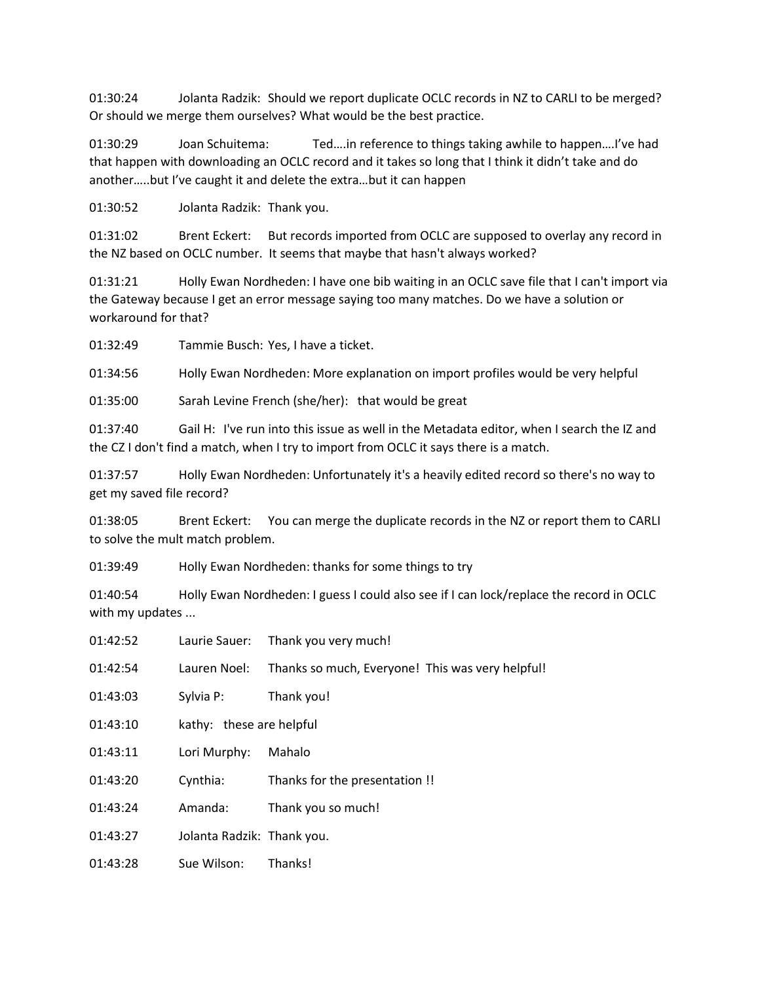01:30:24 Jolanta Radzik: Should we report duplicate OCLC records in NZ to CARLI to be merged? Or should we merge them ourselves? What would be the best practice.

01:30:29 Joan Schuitema: Ted….in reference to things taking awhile to happen….I've had that happen with downloading an OCLC record and it takes so long that I think it didn't take and do another…..but I've caught it and delete the extra…but it can happen

01:30:52 Jolanta Radzik: Thank you.

01:31:02 Brent Eckert: But records imported from OCLC are supposed to overlay any record in the NZ based on OCLC number. It seems that maybe that hasn't always worked?

01:31:21 Holly Ewan Nordheden: I have one bib waiting in an OCLC save file that I can't import via the Gateway because I get an error message saying too many matches. Do we have a solution or workaround for that?

01:32:49 Tammie Busch: Yes, I have a ticket.

01:34:56 Holly Ewan Nordheden: More explanation on import profiles would be very helpful

01:35:00 Sarah Levine French (she/her): that would be great

01:37:40 Gail H: I've run into this issue as well in the Metadata editor, when I search the IZ and the CZ I don't find a match, when I try to import from OCLC it says there is a match.

01:37:57 Holly Ewan Nordheden: Unfortunately it's a heavily edited record so there's no way to get my saved file record?

01:38:05 Brent Eckert: You can merge the duplicate records in the NZ or report them to CARLI to solve the mult match problem.

01:39:49 Holly Ewan Nordheden: thanks for some things to try

01:40:54 Holly Ewan Nordheden: I guess I could also see if I can lock/replace the record in OCLC with my updates ...

- 01:42:52 Laurie Sauer: Thank you very much!
- 01:42:54 Lauren Noel: Thanks so much, Everyone! This was very helpful!
- 01:43:03 Sylvia P: Thank you!
- 01:43:10 kathy: these are helpful
- 01:43:11 Lori Murphy: Mahalo
- 01:43:20 Cynthia: Thanks for the presentation !!
- 01:43:24 Amanda: Thank you so much!
- 01:43:27 Jolanta Radzik: Thank you.
- 01:43:28 Sue Wilson: Thanks!